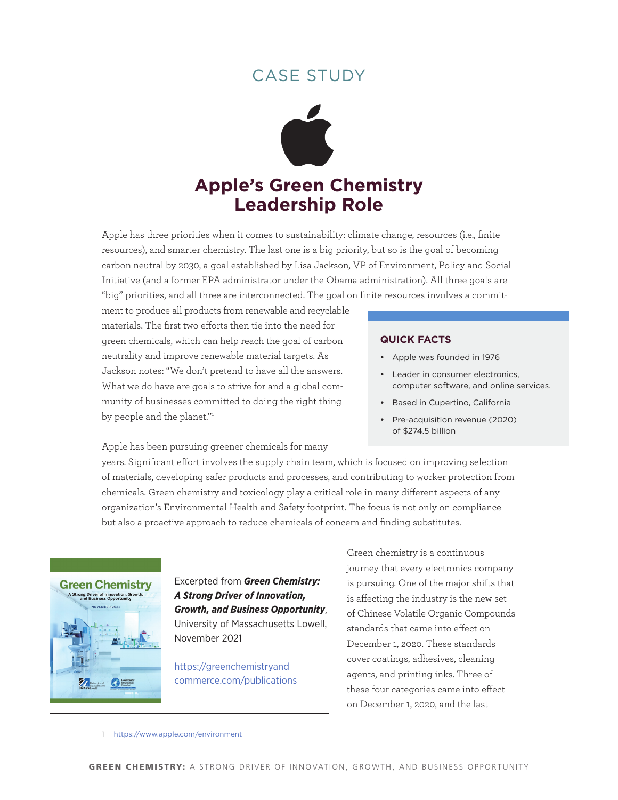## case studY



Apple has three priorities when it comes to sustainability: climate change, resources (i.e., finite resources), and smarter chemistry. The last one is a big priority, but so is the goal of becoming carbon neutral by 2030, a goal established by Lisa Jackson, VP of Environment, Policy and Social Initiative (and a former EPA administrator under the Obama administration). All three goals are "big" priorities, and all three are interconnected. The goal on finite resources involves a commit-

ment to produce all products from renewable and recyclable materials. The first two efforts then tie into the need for green chemicals, which can help reach the goal of carbon neutrality and improve renewable material targets. As Jackson notes: "We don't pretend to have all the answers. What we do have are goals to strive for and a global community of businesses committed to doing the right thing by people and the planet."1

### **quick Facts**

- **•**  Apple was founded in 1976
- **•**  Leader in consumer electronics, computer software, and online services.
- **•**  Based in Cupertino, California
- **•**  Pre-acquisition revenue (2020) of \$274.5 billion

Apple has been pursuing greener chemicals for many

years. Significant effort involves the supply chain team, which is focused on improving selection of materials, developing safer products and processes, and contributing to worker protection from chemicals. Green chemistry and toxicology play a critical role in many different aspects of any organization's Environmental Health and Safety footprint. The focus is not only on compliance but also a proactive approach to reduce chemicals of concern and finding substitutes.



Excerpted from *Green Chemistry: A Strong Driver of Innovation, Growth, and Business Opportunity*, University of Massachusetts Lowell, November 2021

[https://greenchemistryand](https://greenchemistryandcommerce.com/publications) [commerce.com/publications](https://greenchemistryandcommerce.com/publications)

Green chemistry is a continuous journey that every electronics company is pursuing. One of the major shifts that is affecting the industry is the new set of Chinese Volatile Organic Compounds standards that came into effect on December 1, 2020. These standards cover coatings, adhesives, cleaning agents, and printing inks. Three of these four categories came into effect on December 1, 2020, and the last

#### 1 <https://www.apple.com/environment>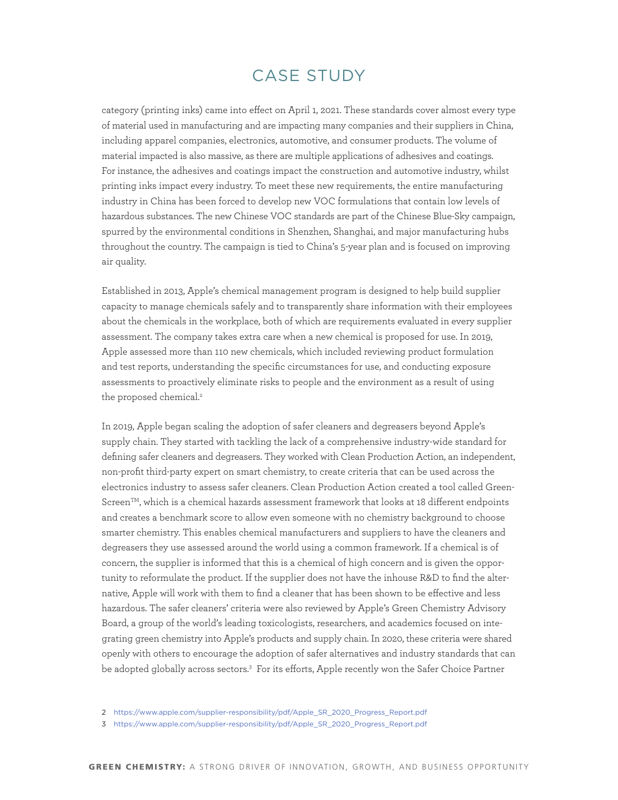## case studY

category (printing inks) came into effect on April 1, 2021. These standards cover almost every type of material used in manufacturing and are impacting many companies and their suppliers in China, including apparel companies, electronics, automotive, and consumer products. The volume of material impacted is also massive, as there are multiple applications of adhesives and coatings. For instance, the adhesives and coatings impact the construction and automotive industry, whilst printing inks impact every industry. To meet these new requirements, the entire manufacturing industry in China has been forced to develop new VOC formulations that contain low levels of hazardous substances. The new Chinese VOC standards are part of the Chinese Blue-Sky campaign, spurred by the environmental conditions in Shenzhen, Shanghai, and major manufacturing hubs throughout the country. The campaign is tied to China's 5-year plan and is focused on improving air quality.

Established in 2013, Apple's chemical management program is designed to help build supplier capacity to manage chemicals safely and to transparently share information with their employees about the chemicals in the workplace, both of which are requirements evaluated in every supplier assessment. The company takes extra care when a new chemical is proposed for use. In 2019, Apple assessed more than 110 new chemicals, which included reviewing product formulation and test reports, understanding the specific circumstances for use, and conducting exposure assessments to proactively eliminate risks to people and the environment as a result of using the proposed chemical.<sup>2</sup>

In 2019, Apple began scaling the adoption of safer cleaners and degreasers beyond Apple's supply chain. They started with tackling the lack of a comprehensive industry-wide standard for defining safer cleaners and degreasers. They worked with Clean Production Action, an independent, non-profit third-party expert on smart chemistry, to create criteria that can be used across the electronics industry to assess safer cleaners. Clean Production Action created a tool called Green-Screen<sup>TM</sup>, which is a chemical hazards assessment framework that looks at 18 different endpoints and creates a benchmark score to allow even someone with no chemistry background to choose smarter chemistry. This enables chemical manufacturers and suppliers to have the cleaners and degreasers they use assessed around the world using a common framework. If a chemical is of concern, the supplier is informed that this is a chemical of high concern and is given the opportunity to reformulate the product. If the supplier does not have the inhouse R&D to find the alternative, Apple will work with them to find a cleaner that has been shown to be effective and less hazardous. The safer cleaners' criteria were also reviewed by Apple's Green Chemistry Advisory Board, a group of the world's leading toxicologists, researchers, and academics focused on integrating green chemistry into Apple's products and supply chain. In 2020, these criteria were shared openly with others to encourage the adoption of safer alternatives and industry standards that can be adopted globally across sectors.3 For its efforts, Apple recently won the Safer Choice Partner

<sup>2</sup> [https://www.apple.com/supplier-responsibility/pdf/Apple\\_SR\\_2020\\_Progress\\_Report.pdf](https://www.apple.com/supplier-responsibility/pdf/Apple_SR_2020_Progress_Report.pdf)

<sup>3</sup> [https://www.apple.com/supplier-responsibility/pdf/Apple\\_SR\\_2020\\_Progress\\_Report.pdf](https://www.apple.com/supplier-responsibility/pdf/Apple_SR_2020_Progress_Report.pdf)